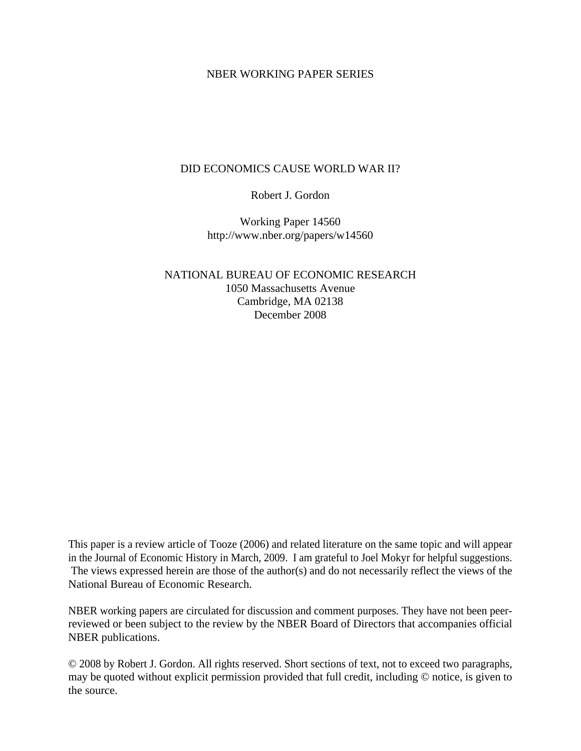### NBER WORKING PAPER SERIES

### DID ECONOMICS CAUSE WORLD WAR II?

Robert J. Gordon

Working Paper 14560 http://www.nber.org/papers/w14560

NATIONAL BUREAU OF ECONOMIC RESEARCH 1050 Massachusetts Avenue Cambridge, MA 02138 December 2008

This paper is a review article of Tooze (2006) and related literature on the same topic and will appear in the Journal of Economic History in March, 2009. I am grateful to Joel Mokyr for helpful suggestions. The views expressed herein are those of the author(s) and do not necessarily reflect the views of the National Bureau of Economic Research.

NBER working papers are circulated for discussion and comment purposes. They have not been peerreviewed or been subject to the review by the NBER Board of Directors that accompanies official NBER publications.

© 2008 by Robert J. Gordon. All rights reserved. Short sections of text, not to exceed two paragraphs, may be quoted without explicit permission provided that full credit, including © notice, is given to the source.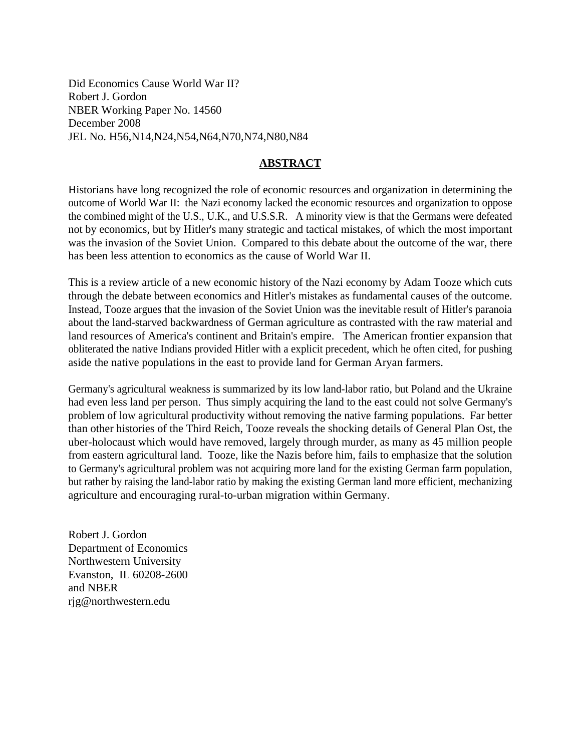Did Economics Cause World War II? Robert J. Gordon NBER Working Paper No. 14560 December 2008 JEL No. H56,N14,N24,N54,N64,N70,N74,N80,N84

## **ABSTRACT**

Historians have long recognized the role of economic resources and organization in determining the outcome of World War II: the Nazi economy lacked the economic resources and organization to oppose the combined might of the U.S., U.K., and U.S.S.R. A minority view is that the Germans were defeated not by economics, but by Hitler's many strategic and tactical mistakes, of which the most important was the invasion of the Soviet Union. Compared to this debate about the outcome of the war, there has been less attention to economics as the cause of World War II.

This is a review article of a new economic history of the Nazi economy by Adam Tooze which cuts through the debate between economics and Hitler's mistakes as fundamental causes of the outcome. Instead, Tooze argues that the invasion of the Soviet Union was the inevitable result of Hitler's paranoia about the land-starved backwardness of German agriculture as contrasted with the raw material and land resources of America's continent and Britain's empire. The American frontier expansion that obliterated the native Indians provided Hitler with a explicit precedent, which he often cited, for pushing aside the native populations in the east to provide land for German Aryan farmers.

Germany's agricultural weakness is summarized by its low land-labor ratio, but Poland and the Ukraine had even less land per person. Thus simply acquiring the land to the east could not solve Germany's problem of low agricultural productivity without removing the native farming populations. Far better than other histories of the Third Reich, Tooze reveals the shocking details of General Plan Ost, the uber-holocaust which would have removed, largely through murder, as many as 45 million people from eastern agricultural land. Tooze, like the Nazis before him, fails to emphasize that the solution to Germany's agricultural problem was not acquiring more land for the existing German farm population, but rather by raising the land-labor ratio by making the existing German land more efficient, mechanizing agriculture and encouraging rural-to-urban migration within Germany.

Robert J. Gordon Department of Economics Northwestern University Evanston, IL 60208-2600 and NBER rjg@northwestern.edu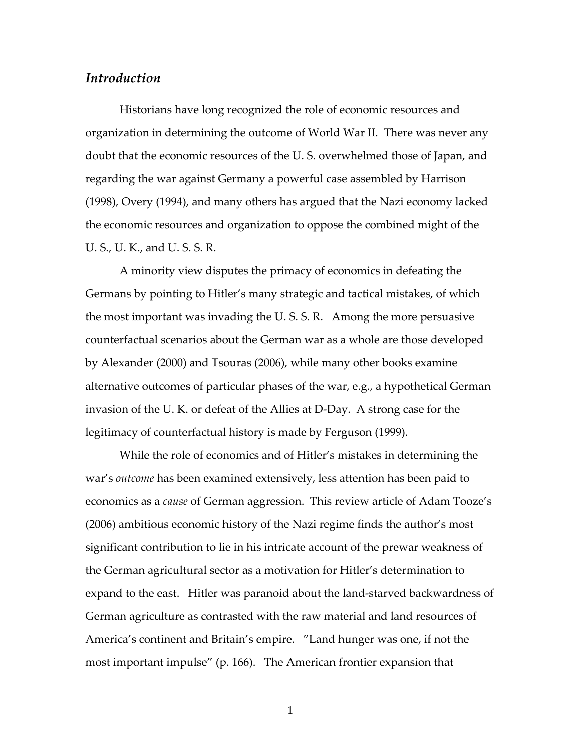# *Introduction*

Historians have long recognized the role of economic resources and organization in determining the outcome of World War II. There was never any doubt that the economic resources of the U. S. overwhelmed those of Japan, and regarding the war against Germany a powerful case assembled by Harrison (1998), Overy (1994), and many others has argued that the Nazi economy lacked the economic resources and organization to oppose the combined might of the U. S., U. K., and U. S. S. R.

A minority view disputes the primacy of economics in defeating the Germans by pointing to Hitler's many strategic and tactical mistakes, of which the most important was invading the U. S. S. R. Among the more persuasive counterfactual scenarios about the German war as a whole are those developed by Alexander (2000) and Tsouras (2006), while many other books examine alternative outcomes of particular phases of the war, e.g., a hypothetical German invasion of the U. K. or defeat of the Allies at D‐Day. A strong case for the legitimacy of counterfactual history is made by Ferguson (1999).

While the role of economics and of Hitler's mistakes in determining the war's *outcome* has been examined extensively, less attention has been paid to economics as a *cause* of German aggression. This review article of Adam Tooze's (2006) ambitious economic history of the Nazi regime finds the author's most significant contribution to lie in his intricate account of the prewar weakness of the German agricultural sector as a motivation for Hitler's determination to expand to the east. Hitler was paranoid about the land-starved backwardness of German agriculture as contrasted with the raw material and land resources of America's continent and Britain's empire. "Land hunger was one, if not the most important impulse" (p. 166). The American frontier expansion that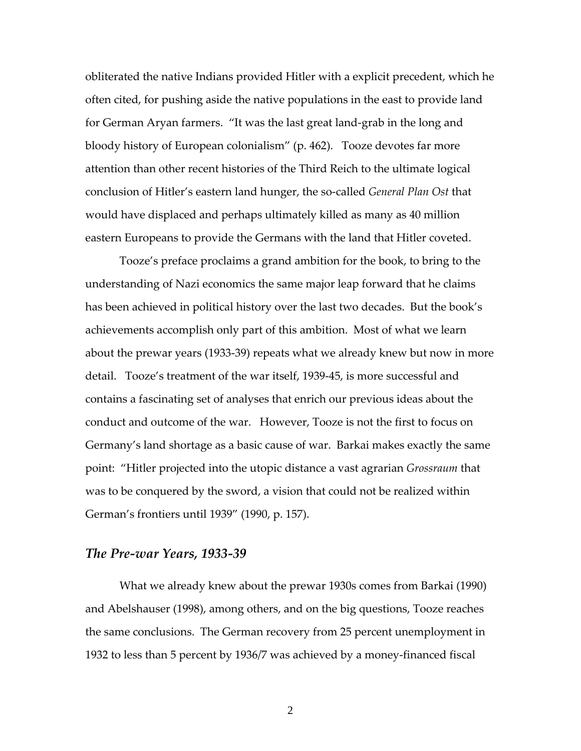obliterated the native Indians provided Hitler with a explicit precedent, which he often cited, for pushing aside the native populations in the east to provide land for German Aryan farmers. "It was the last great land‐grab in the long and bloody history of European colonialism" (p. 462). Tooze devotes far more attention than other recent histories of the Third Reich to the ultimate logical conclusion of Hitler's eastern land hunger, the so‐called *General Plan Ost* that would have displaced and perhaps ultimately killed as many as 40 million eastern Europeans to provide the Germans with the land that Hitler coveted.

Tooze's preface proclaims a grand ambition for the book, to bring to the understanding of Nazi economics the same major leap forward that he claims has been achieved in political history over the last two decades. But the book's achievements accomplish only part of this ambition. Most of what we learn about the prewar years (1933‐39) repeats what we already knew but now in more detail. Tooze's treatment of the war itself, 1939‐45, is more successful and contains a fascinating set of analyses that enrich our previous ideas about the conduct and outcome of the war. However, Tooze is not the first to focus on Germany's land shortage as a basic cause of war. Barkai makes exactly the same point: "Hitler projected into the utopic distance a vast agrarian *Grossraum* that was to be conquered by the sword, a vision that could not be realized within German's frontiers until 1939" (1990, p. 157).

### *The Pre‐war Years, 1933‐39*

What we already knew about the prewar 1930s comes from Barkai (1990) and Abelshauser (1998), among others, and on the big questions, Tooze reaches the same conclusions. The German recovery from 25 percent unemployment in 1932 to less than 5 percent by 1936/7 was achieved by a money‐financed fiscal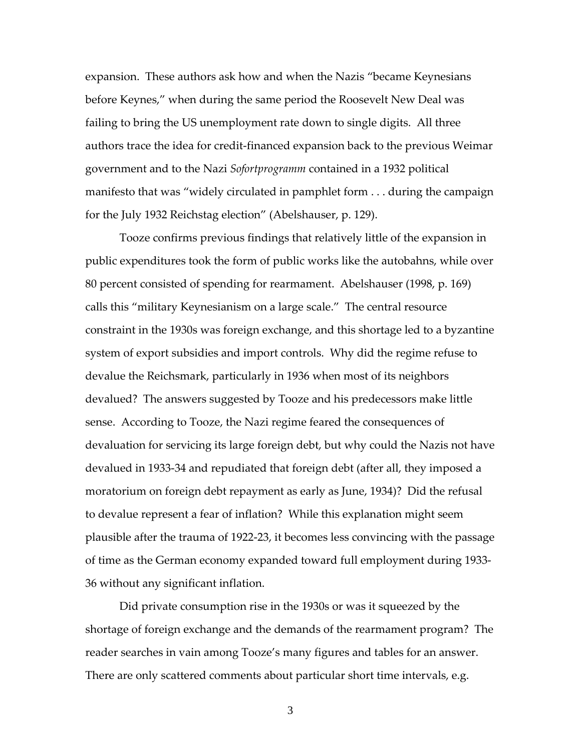expansion. These authors ask how and when the Nazis "became Keynesians before Keynes," when during the same period the Roosevelt New Deal was failing to bring the US unemployment rate down to single digits. All three authors trace the idea for credit‐financed expansion back to the previous Weimar government and to the Nazi *Sofortprogramm* contained in a 1932 political manifesto that was "widely circulated in pamphlet form . . . during the campaign for the July 1932 Reichstag election" (Abelshauser, p. 129).

Tooze confirms previous findings that relatively little of the expansion in public expenditures took the form of public works like the autobahns, while over 80 percent consisted of spending for rearmament. Abelshauser (1998, p. 169) calls this "military Keynesianism on a large scale." The central resource constraint in the 1930s was foreign exchange, and this shortage led to a byzantine system of export subsidies and import controls. Why did the regime refuse to devalue the Reichsmark, particularly in 1936 when most of its neighbors devalued? The answers suggested by Tooze and his predecessors make little sense. According to Tooze, the Nazi regime feared the consequences of devaluation for servicing its large foreign debt, but why could the Nazis not have devalued in 1933‐34 and repudiated that foreign debt (after all, they imposed a moratorium on foreign debt repayment as early as June, 1934)? Did the refusal to devalue represent a fear of inflation? While this explanation might seem plausible after the trauma of 1922‐23, it becomes less convincing with the passage of time as the German economy expanded toward full employment during 1933‐ 36 without any significant inflation.

Did private consumption rise in the 1930s or was it squeezed by the shortage of foreign exchange and the demands of the rearmament program? The reader searches in vain among Tooze's many figures and tables for an answer. There are only scattered comments about particular short time intervals, e.g.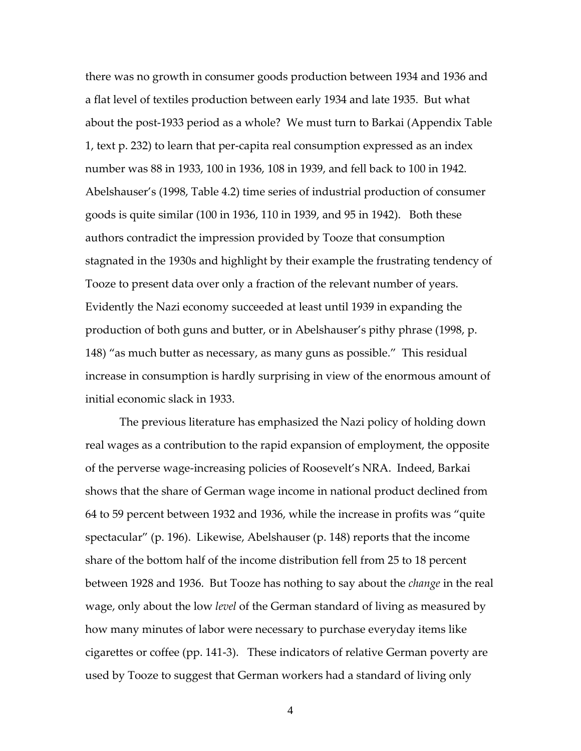there was no growth in consumer goods production between 1934 and 1936 and a flat level of textiles production between early 1934 and late 1935. But what about the post‐1933 period as a whole? We must turn to Barkai (Appendix Table 1, text p. 232) to learn that per‐capita real consumption expressed as an index number was 88 in 1933, 100 in 1936, 108 in 1939, and fell back to 100 in 1942. Abelshauser's (1998, Table 4.2) time series of industrial production of consumer goods is quite similar (100 in 1936, 110 in 1939, and 95 in 1942). Both these authors contradict the impression provided by Tooze that consumption stagnated in the 1930s and highlight by their example the frustrating tendency of Tooze to present data over only a fraction of the relevant number of years. Evidently the Nazi economy succeeded at least until 1939 in expanding the production of both guns and butter, or in Abelshauser's pithy phrase (1998, p. 148) "as much butter as necessary, as many guns as possible." This residual increase in consumption is hardly surprising in view of the enormous amount of initial economic slack in 1933.

The previous literature has emphasized the Nazi policy of holding down real wages as a contribution to the rapid expansion of employment, the opposite of the perverse wage‐increasing policies of Roosevelt's NRA. Indeed, Barkai shows that the share of German wage income in national product declined from 64 to 59 percent between 1932 and 1936, while the increase in profits was "quite spectacular" (p. 196). Likewise, Abelshauser (p. 148) reports that the income share of the bottom half of the income distribution fell from 25 to 18 percent between 1928 and 1936. But Tooze has nothing to say about the *change* in the real wage, only about the low *level* of the German standard of living as measured by how many minutes of labor were necessary to purchase everyday items like cigarettes or coffee (pp. 141‐3). These indicators of relative German poverty are used by Tooze to suggest that German workers had a standard of living only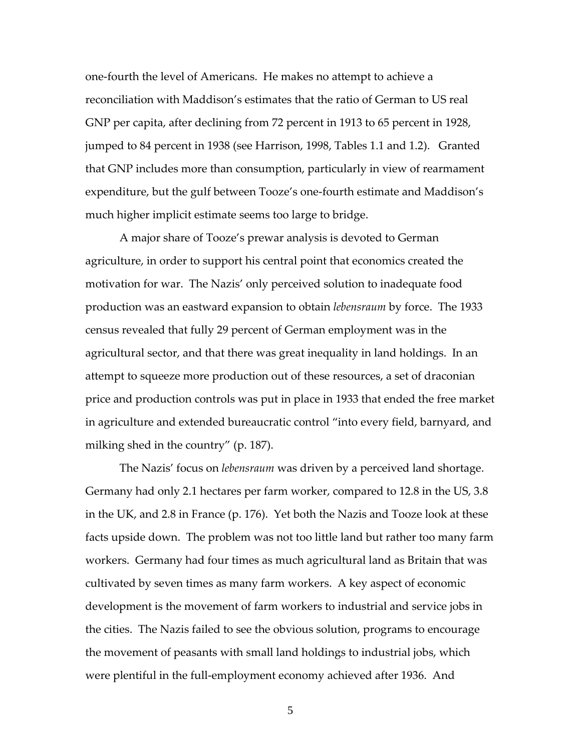one‐fourth the level of Americans. He makes no attempt to achieve a reconciliation with Maddison's estimates that the ratio of German to US real GNP per capita, after declining from 72 percent in 1913 to 65 percent in 1928, jumped to 84 percent in 1938 (see Harrison, 1998, Tables 1.1 and 1.2). Granted that GNP includes more than consumption, particularly in view of rearmament expenditure, but the gulf between Tooze's one‐fourth estimate and Maddison's much higher implicit estimate seems too large to bridge.

A major share of Tooze's prewar analysis is devoted to German agriculture, in order to support his central point that economics created the motivation for war. The Nazis' only perceived solution to inadequate food production was an eastward expansion to obtain *lebensraum* by force. The 1933 census revealed that fully 29 percent of German employment was in the agricultural sector, and that there was great inequality in land holdings. In an attempt to squeeze more production out of these resources, a set of draconian price and production controls was put in place in 1933 that ended the free market in agriculture and extended bureaucratic control "into every field, barnyard, and milking shed in the country" (p. 187).

The Nazis' focus on *lebensraum* was driven by a perceived land shortage. Germany had only 2.1 hectares per farm worker, compared to 12.8 in the US, 3.8 in the UK, and 2.8 in France (p. 176). Yet both the Nazis and Tooze look at these facts upside down. The problem was not too little land but rather too many farm workers. Germany had four times as much agricultural land as Britain that was cultivated by seven times as many farm workers. A key aspect of economic development is the movement of farm workers to industrial and service jobs in the cities. The Nazis failed to see the obvious solution, programs to encourage the movement of peasants with small land holdings to industrial jobs, which were plentiful in the full-employment economy achieved after 1936. And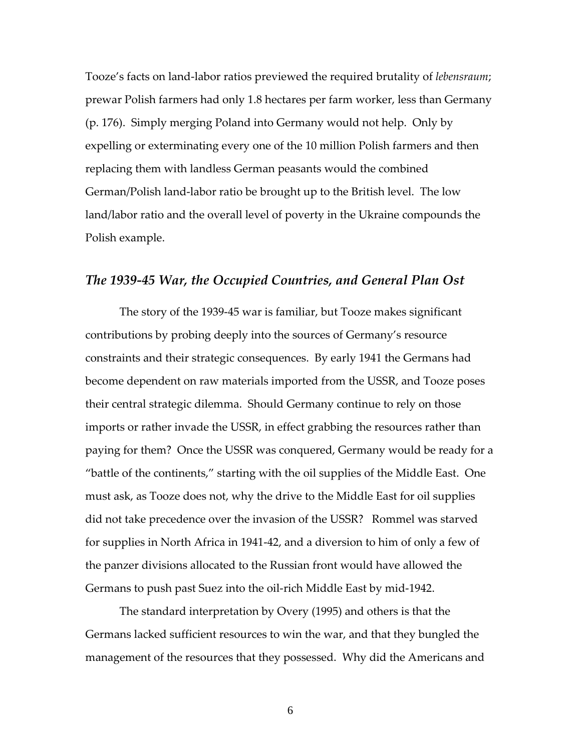Tooze's facts on land‐labor ratios previewed the required brutality of *lebensraum*; prewar Polish farmers had only 1.8 hectares per farm worker, less than Germany (p. 176). Simply merging Poland into Germany would not help. Only by expelling or exterminating every one of the 10 million Polish farmers and then replacing them with landless German peasants would the combined German/Polish land‐labor ratio be brought up to the British level. The low land/labor ratio and the overall level of poverty in the Ukraine compounds the Polish example.

## *The 1939‐45 War, the Occupied Countries, and General Plan Ost*

The story of the 1939‐45 war is familiar, but Tooze makes significant contributions by probing deeply into the sources of Germany's resource constraints and their strategic consequences. By early 1941 the Germans had become dependent on raw materials imported from the USSR, and Tooze poses their central strategic dilemma. Should Germany continue to rely on those imports or rather invade the USSR, in effect grabbing the resources rather than paying for them? Once the USSR was conquered, Germany would be ready for a "battle of the continents," starting with the oil supplies of the Middle East. One must ask, as Tooze does not, why the drive to the Middle East for oil supplies did not take precedence over the invasion of the USSR? Rommel was starved for supplies in North Africa in 1941‐42, and a diversion to him of only a few of the panzer divisions allocated to the Russian front would have allowed the Germans to push past Suez into the oil‐rich Middle East by mid‐1942.

The standard interpretation by Overy (1995) and others is that the Germans lacked sufficient resources to win the war, and that they bungled the management of the resources that they possessed. Why did the Americans and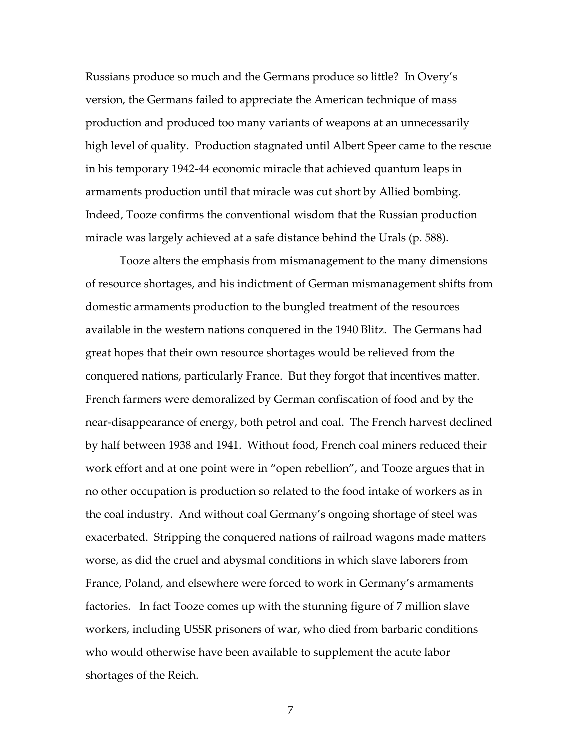Russians produce so much and the Germans produce so little? In Overy's version, the Germans failed to appreciate the American technique of mass production and produced too many variants of weapons at an unnecessarily high level of quality. Production stagnated until Albert Speer came to the rescue in his temporary 1942‐44 economic miracle that achieved quantum leaps in armaments production until that miracle was cut short by Allied bombing. Indeed, Tooze confirms the conventional wisdom that the Russian production miracle was largely achieved at a safe distance behind the Urals (p. 588).

Tooze alters the emphasis from mismanagement to the many dimensions of resource shortages, and his indictment of German mismanagement shifts from domestic armaments production to the bungled treatment of the resources available in the western nations conquered in the 1940 Blitz. The Germans had great hopes that their own resource shortages would be relieved from the conquered nations, particularly France. But they forgot that incentives matter. French farmers were demoralized by German confiscation of food and by the near-disappearance of energy, both petrol and coal. The French harvest declined by half between 1938 and 1941. Without food, French coal miners reduced their work effort and at one point were in "open rebellion", and Tooze argues that in no other occupation is production so related to the food intake of workers as in the coal industry. And without coal Germany's ongoing shortage of steel was exacerbated. Stripping the conquered nations of railroad wagons made matters worse, as did the cruel and abysmal conditions in which slave laborers from France, Poland, and elsewhere were forced to work in Germany's armaments factories. In fact Tooze comes up with the stunning figure of 7 million slave workers, including USSR prisoners of war, who died from barbaric conditions who would otherwise have been available to supplement the acute labor shortages of the Reich.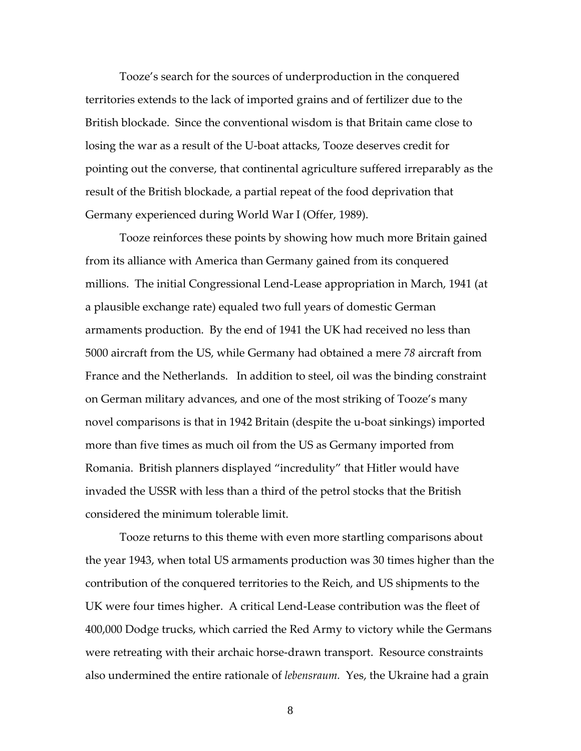Tooze's search for the sources of underproduction in the conquered territories extends to the lack of imported grains and of fertilizer due to the British blockade. Since the conventional wisdom is that Britain came close to losing the war as a result of the U‐boat attacks, Tooze deserves credit for pointing out the converse, that continental agriculture suffered irreparably as the result of the British blockade, a partial repeat of the food deprivation that Germany experienced during World War I (Offer, 1989).

Tooze reinforces these points by showing how much more Britain gained from its alliance with America than Germany gained from its conquered millions. The initial Congressional Lend‐Lease appropriation in March, 1941 (at a plausible exchange rate) equaled two full years of domestic German armaments production. By the end of 1941 the UK had received no less than 5000 aircraft from the US, while Germany had obtained a mere *78* aircraft from France and the Netherlands. In addition to steel, oil was the binding constraint on German military advances, and one of the most striking of Tooze's many novel comparisons is that in 1942 Britain (despite the u‐boat sinkings) imported more than five times as much oil from the US as Germany imported from Romania. British planners displayed "incredulity" that Hitler would have invaded the USSR with less than a third of the petrol stocks that the British considered the minimum tolerable limit.

Tooze returns to this theme with even more startling comparisons about the year 1943, when total US armaments production was 30 times higher than the contribution of the conquered territories to the Reich, and US shipments to the UK were four times higher. A critical Lend‐Lease contribution was the fleet of 400,000 Dodge trucks, which carried the Red Army to victory while the Germans were retreating with their archaic horse-drawn transport. Resource constraints also undermined the entire rationale of *lebensraum.* Yes, the Ukraine had a grain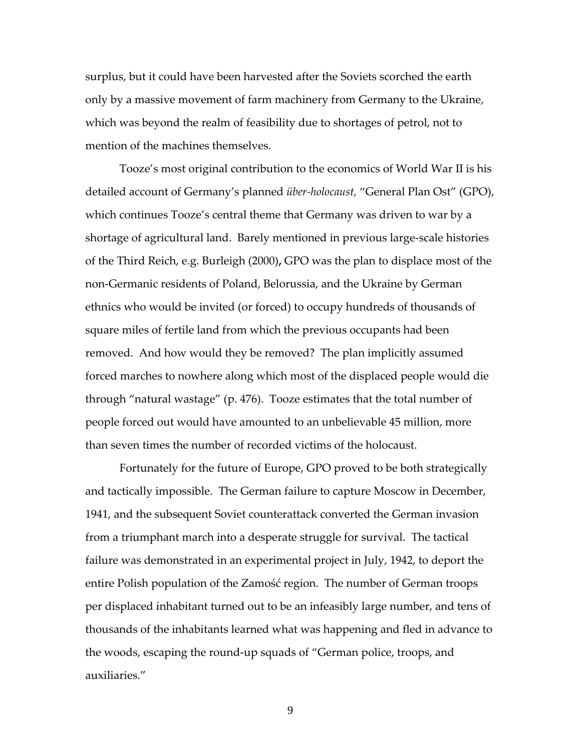surplus, but it could have been harvested after the Soviets scorched the earth only by a massive movement of farm machinery from Germany to the Ukraine, which was beyond the realm of feasibility due to shortages of petrol, not to mention of the machines themselves.

Tooze's most original contribution to the economics of World War II is his detailed account of Germany's planned *über‐holocaust,* "General Plan Ost" (GPO), which continues Tooze's central theme that Germany was driven to war by a shortage of agricultural land. Barely mentioned in previous large‐scale histories of the Third Reich, e.g. Burleigh (2000)**,** GPO was the plan to displace most of the non‐Germanic residents of Poland, Belorussia, and the Ukraine by German ethnics who would be invited (or forced) to occupy hundreds of thousands of square miles of fertile land from which the previous occupants had been removed. And how would they be removed? The plan implicitly assumed forced marches to nowhere along which most of the displaced people would die through "natural wastage" (p. 476). Tooze estimates that the total number of people forced out would have amounted to an unbelievable 45 million, more than seven times the number of recorded victims of the holocaust.

Fortunately for the future of Europe, GPO proved to be both strategically and tactically impossible. The German failure to capture Moscow in December, 1941, and the subsequent Soviet counterattack converted the German invasion from a triumphant march into a desperate struggle for survival. The tactical failure was demonstrated in an experimental project in July, 1942, to deport the entire Polish population of the Zamość region. The number of German troops per displaced inhabitant turned out to be an infeasibly large number, and tens of thousands of the inhabitants learned what was happening and fled in advance to the woods, escaping the round‐up squads of "German police, troops, and auxiliaries."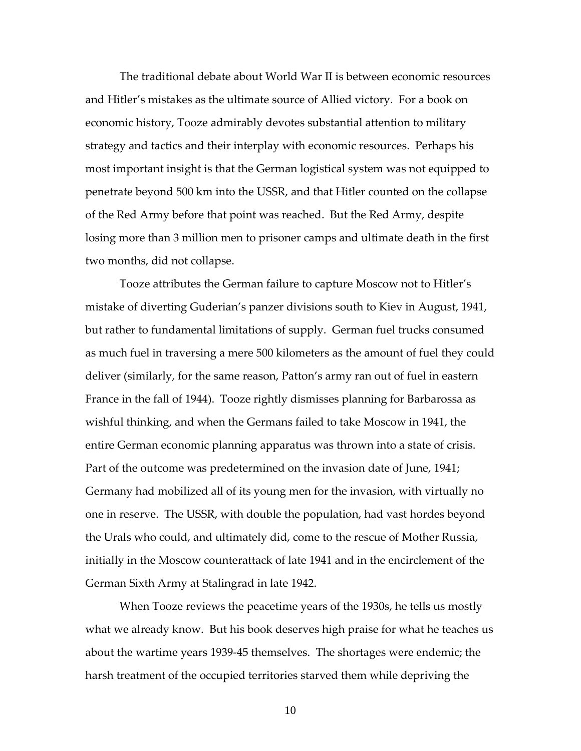The traditional debate about World War II is between economic resources and Hitler's mistakes as the ultimate source of Allied victory. For a book on economic history, Tooze admirably devotes substantial attention to military strategy and tactics and their interplay with economic resources. Perhaps his most important insight is that the German logistical system was not equipped to penetrate beyond 500 km into the USSR, and that Hitler counted on the collapse of the Red Army before that point was reached. But the Red Army, despite losing more than 3 million men to prisoner camps and ultimate death in the first two months, did not collapse.

Tooze attributes the German failure to capture Moscow not to Hitler's mistake of diverting Guderian's panzer divisions south to Kiev in August, 1941, but rather to fundamental limitations of supply. German fuel trucks consumed as much fuel in traversing a mere 500 kilometers as the amount of fuel they could deliver (similarly, for the same reason, Patton's army ran out of fuel in eastern France in the fall of 1944). Tooze rightly dismisses planning for Barbarossa as wishful thinking, and when the Germans failed to take Moscow in 1941, the entire German economic planning apparatus was thrown into a state of crisis. Part of the outcome was predetermined on the invasion date of June, 1941; Germany had mobilized all of its young men for the invasion, with virtually no one in reserve. The USSR, with double the population, had vast hordes beyond the Urals who could, and ultimately did, come to the rescue of Mother Russia, initially in the Moscow counterattack of late 1941 and in the encirclement of the German Sixth Army at Stalingrad in late 1942.

When Tooze reviews the peacetime years of the 1930s, he tells us mostly what we already know. But his book deserves high praise for what he teaches us about the wartime years 1939‐45 themselves. The shortages were endemic; the harsh treatment of the occupied territories starved them while depriving the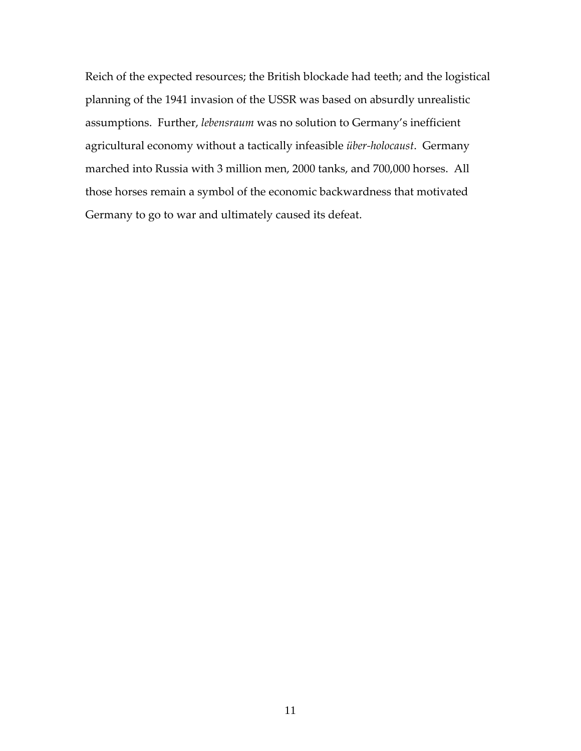Reich of the expected resources; the British blockade had teeth; and the logistical planning of the 1941 invasion of the USSR was based on absurdly unrealistic assumptions. Further, *lebensraum* was no solution to Germany's inefficient agricultural economy without a tactically infeasible *über‐holocaust*. Germany marched into Russia with 3 million men, 2000 tanks, and 700,000 horses. All those horses remain a symbol of the economic backwardness that motivated Germany to go to war and ultimately caused its defeat.